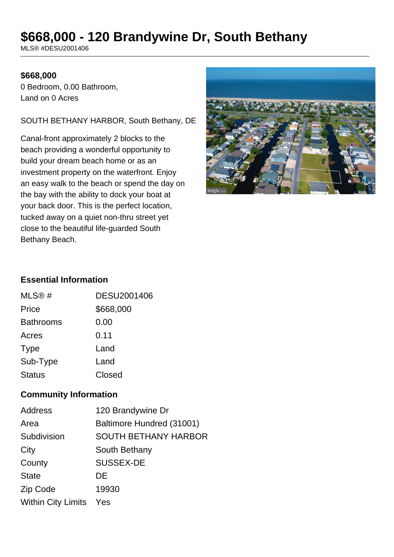# **\$668,000 - 120 Brandywine Dr, South Bethany**

MLS® #DESU2001406

#### **\$668,000**

0 Bedroom, 0.00 Bathroom, Land on 0 Acres

#### SOUTH BETHANY HARBOR, South Bethany, DE

Canal-front approximately 2 blocks to the beach providing a wonderful opportunity to build your dream beach home or as an investment property on the waterfront. Enjoy an easy walk to the beach or spend the day on the bay with the ability to dock your boat at your back door. This is the perfect location, tucked away on a quiet non-thru street yet close to the beautiful life-guarded South Bethany Beach.



### **Essential Information**

| MLS@#            | DESU2001406 |
|------------------|-------------|
| Price            | \$668,000   |
| <b>Bathrooms</b> | 0.00        |
| Acres            | 0.11        |
| <b>Type</b>      | Land        |
| Sub-Type         | Land        |
| <b>Status</b>    | Closed      |

### **Community Information**

| <b>Address</b>            | 120 Brandywine Dr           |
|---------------------------|-----------------------------|
| Area                      | Baltimore Hundred (31001)   |
| Subdivision               | <b>SOUTH BETHANY HARBOR</b> |
| City                      | South Bethany               |
| County                    | <b>SUSSEX-DE</b>            |
| <b>State</b>              | DE                          |
| Zip Code                  | 19930                       |
| <b>Within City Limits</b> | Yes                         |